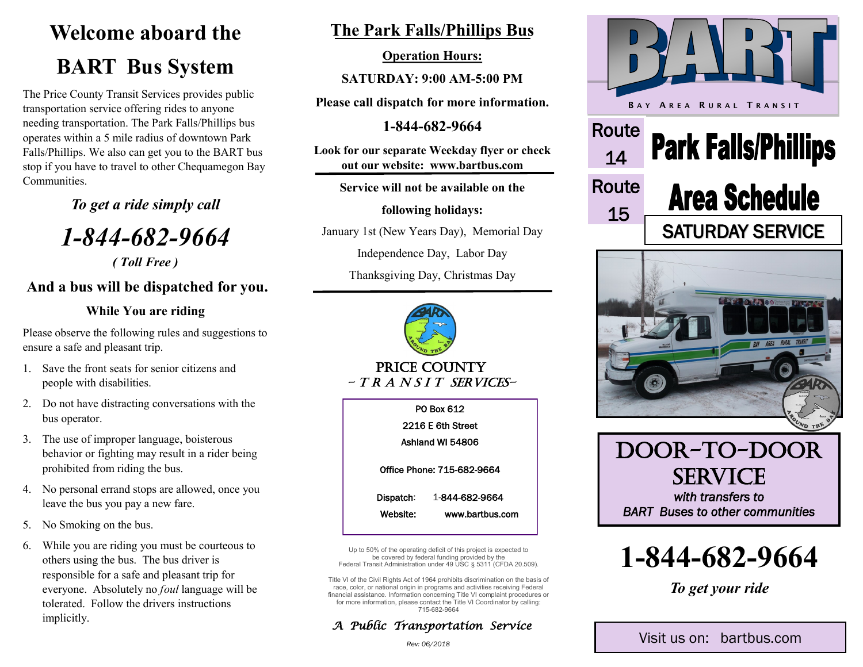# **Welcome aboard the BART Bus System**

The Price County Transit Services provides public transportation service offering rides to anyone needing transportation. The Park Falls/Phillips bus operates within a 5 mile radius of downtown Park Falls/Phillips. We also can get you to the BART bus stop if you have to travel to other Chequamegon Bay **Communities** 

*To get a ride simply call*

*1-844-682-9664*

*( Toll Free )*

## **And a bus will be dispatched for you.**

### **While You are riding**

Please observe the following rules and suggestions to ensure a safe and pleasant trip.

- 1. Save the front seats for senior citizens and people with disabilities.
- 2. Do not have distracting conversations with the bus operator.
- 3. The use of improper language, boisterous behavior or fighting may result in a rider being prohibited from riding the bus.
- 4. No personal errand stops are allowed, once you leave the bus you pay a new fare.
- 5. No Smoking on the bus.
- 6. While you are riding you must be courteous to others using the bus. The bus driver is responsible for a safe and pleasant trip for everyone. Absolutely no *foul* language will be tolerated. Follow the drivers instructions implicitly.

# **The Park Falls/Phillips Bus**

#### **Operation Hours:**

**SATURDAY: 9:00 AM-5:00 PM**

**Please call dispatch for more information.**

**1-844-682-9664**

**Look for our separate Weekday flyer or check out our website: www.bartbus.com**

**Service will not be available on the**

**following holidays:**

January 1st (New Years Day), Memorial Day

Independence Day, Labor Day

Thanksgiving Day, Christmas Day



#### PRICE COUNTY  $- TR A N S I T S E R V I C E S -$

PO Box 612 2216 E 6th Street Ashland WI 54806 Office Phone: 715-682-9664 Dispatch: 1-844-682-9664 Website: www.bartbus.com

Up to 50% of the operating deficit of this project is expected to be covered by federal funding provided by the Federal Transit Administration under 49 USC § 5311 (CFDA 20.509).

Title VI of the Civil Rights Act of 1964 prohibits discrimination on the basis of race, color, or national origin in programs and activities receiving Federal financial assistance. Information concerning Title VI complaint procedures or for more information, please contact the Title VI Coordinator by calling: 715-682-9664

### *A Public Transportation Service*



**1-844-682-9664**

*To get your ride*

*Rev: 06/2018*